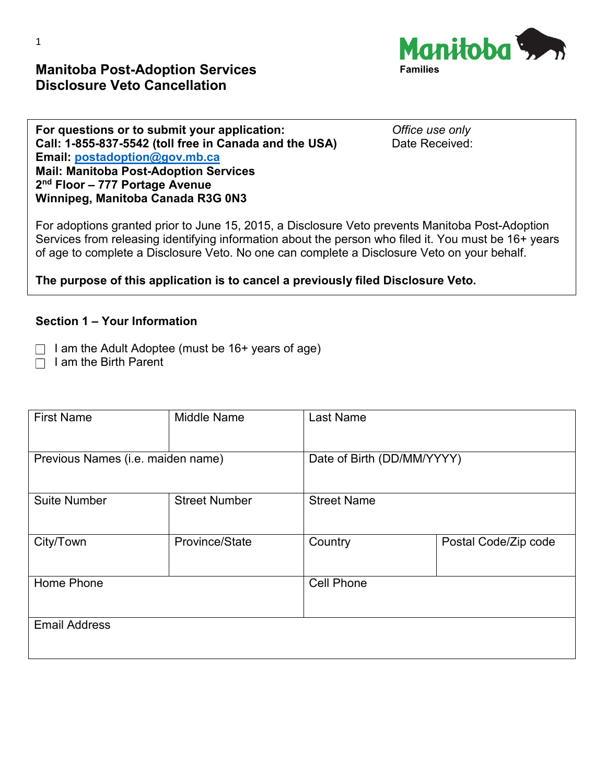**For questions or to submit your application:** *Office use only*<br> **Call: 1-855-837-5542 (toll free in Canada and the USA)** Date Received: Call: 1-855-837-5542 (toll free in Canada and the USA) **Email: [postadoption@gov.mb.ca](mailto:postadoption@gov.mb.ca) Mail: Manitoba Post-Adoption Services 2nd Floor – 777 Portage Avenue Winnipeg, Manitoba Canada R3G 0N3**

**Manitoba Post-Adoption Services** 

**Disclosure Veto Cancellation** 

For adoptions granted prior to June 15, 2015, a Disclosure Veto prevents Manitoba Post-Adoption Services from releasing identifying information about the person who filed it. You must be 16+ years of age to complete a Disclosure Veto. No one can complete a Disclosure Veto on your behalf.

**The purpose of this application is to cancel a previously filed Disclosure Veto.**

#### **Section 1 – Your Information**

 $\Box$  I am the Adult Adoptee (must be 16+ years of age)

 $\Box$  I am the Birth Parent

| <b>First Name</b>                 | Middle Name          | Last Name                  |                      |  |
|-----------------------------------|----------------------|----------------------------|----------------------|--|
| Previous Names (i.e. maiden name) |                      | Date of Birth (DD/MM/YYYY) |                      |  |
| <b>Suite Number</b>               | <b>Street Number</b> | <b>Street Name</b>         |                      |  |
| City/Town                         | Province/State       | Country                    | Postal Code/Zip code |  |
| Home Phone                        |                      | <b>Cell Phone</b>          |                      |  |
| <b>Email Address</b>              |                      |                            |                      |  |

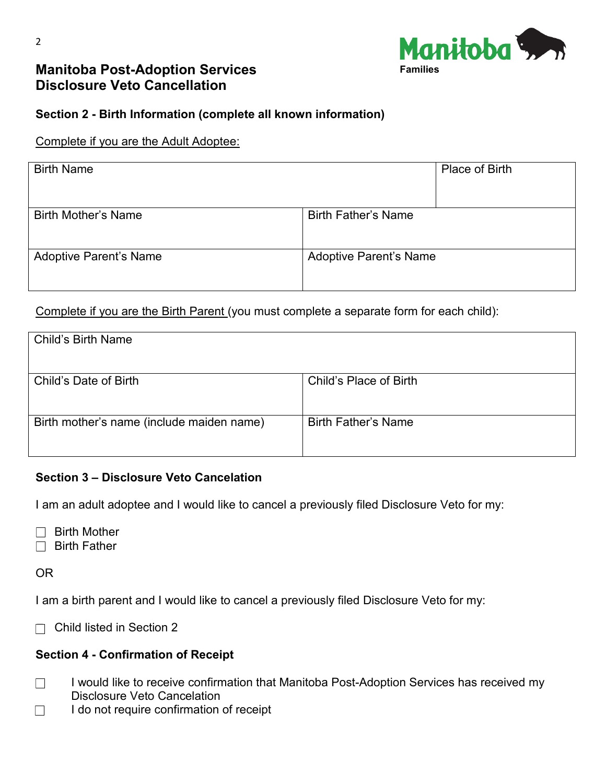

# **Manitoba Post-Adoption Services Disclosure Veto Cancellation**



## **Section 2 - Birth Information (complete all known information)**

#### Complete if you are the Adult Adoptee:

| <b>Birth Name</b>             |                               | Place of Birth |
|-------------------------------|-------------------------------|----------------|
| <b>Birth Mother's Name</b>    | <b>Birth Father's Name</b>    |                |
| <b>Adoptive Parent's Name</b> | <b>Adoptive Parent's Name</b> |                |

Complete if you are the Birth Parent (you must complete a separate form for each child):

| <b>Child's Birth Name</b>                 |                            |
|-------------------------------------------|----------------------------|
|                                           |                            |
|                                           |                            |
|                                           |                            |
| Child's Date of Birth                     | Child's Place of Birth     |
|                                           |                            |
|                                           |                            |
|                                           |                            |
| Birth mother's name (include maiden name) | <b>Birth Father's Name</b> |
|                                           |                            |
|                                           |                            |
|                                           |                            |

#### **Section 3 – Disclosure Veto Cancelation**

I am an adult adoptee and I would like to cancel a previously filed Disclosure Veto for my:

 $\Box$  Birth Mother

 $\Box$  Birth Father

OR

I am a birth parent and I would like to cancel a previously filed Disclosure Veto for my:

 $\Box$  Child listed in Section 2

#### **Section 4 - Confirmation of Receipt**

- $\Box$  I would like to receive confirmation that Manitoba Post-Adoption Services has received my Disclosure Veto Cancelation
- $\Box$  I do not require confirmation of receipt